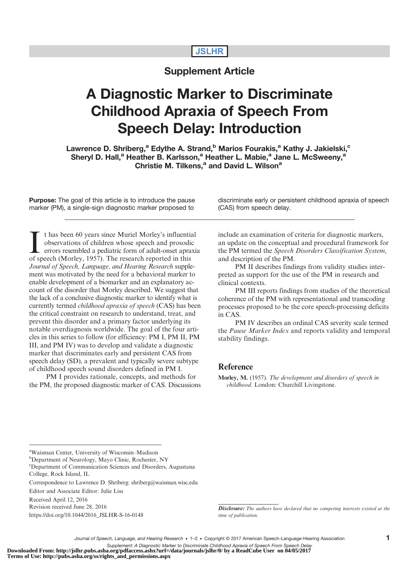## **JSLHR**

## Supplement Article

# A Diagnostic Marker to Discriminate Childhood Apraxia of Speech From Speech Delay: Introduction

Lawrence D. Shriberg,<sup>a</sup> Edythe A. Strand,<sup>b</sup> Marios Fourakis,<sup>a</sup> Kathy J. Jakielski,<sup>c</sup> Sheryl D. Hall,<sup>a</sup> Heather B. Karlsson,<sup>a</sup> Heather L. Mabie,<sup>a</sup> Jane L. McSweeny,<sup>a</sup> Christie M. Tilkens,<sup>a</sup> and David L. Wilson<sup>a</sup>

**Purpose:** The goal of this article is to introduce the pause marker (PM), a single-sign diagnostic marker proposed to

I thas been 60 years since Muriel Morley's influenti<br>observations of children whose speech and prosodi<br>errors resembled a pediatric form of adult-onset apra<br>of speech (Morley, 1957). The research reported in this t has been 60 years since Muriel Morley's influential observations of children whose speech and prosodic errors resembled a pediatric form of adult-onset apraxia Journal of Speech, Language, and Hearing Research supplement was motivated by the need for a behavioral marker to enable development of a biomarker and an explanatory account of the disorder that Morley described. We suggest that the lack of a conclusive diagnostic marker to identify what is currently termed childhood apraxia of speech (CAS) has been the critical constraint on research to understand, treat, and prevent this disorder and a primary factor underlying its notable overdiagnosis worldwide. The goal of the four articles in this series to follow (for efficiency: PM I, PM II, PM III, and PM IV) was to develop and validate a diagnostic marker that discriminates early and persistent CAS from speech delay (SD), a prevalent and typically severe subtype of childhood speech sound disorders defined in PM I.

PM I provides rationale, concepts, and methods for the PM, the proposed diagnostic marker of CAS. Discussions discriminate early or persistent childhood apraxia of speech (CAS) from speech delay.

include an examination of criteria for diagnostic markers, an update on the conceptual and procedural framework for the PM termed the Speech Disorders Classification System, and description of the PM.

PM II describes findings from validity studies interpreted as support for the use of the PM in research and clinical contexts.

PM III reports findings from studies of the theoretical coherence of the PM with representational and transcoding processes proposed to be the core speech-processing deficits in CAS.

PM IV describes an ordinal CAS severity scale termed the Pause Marker Index and reports validity and temporal stability findings.

### Reference

Morley, M. (1957). The development and disorders of speech in childhood. London: Churchill Livingstone.

a Waisman Center, University of Wisconsin–Madison

<sup>b</sup>Department of Neurology, Mayo Clinic, Rochester, NY

Editor and Associate Editor: Julie Liss

Received April 12, 2016

Revision received June 28, 2016

[https://doi.org/10.1044/2016\\_JSLHR-S-16-0148](https://doi.org/10.1044/2016_JSLHR-S-16-0148)

**Disclosure:** The authors have declared that no competing interests existed at the time of publication.

c Department of Communication Sciences and Disorders, Augustana College, Rock Island, IL

Correspondence to Lawrence D. Shriberg: shriberg@waisman.wisc.edu